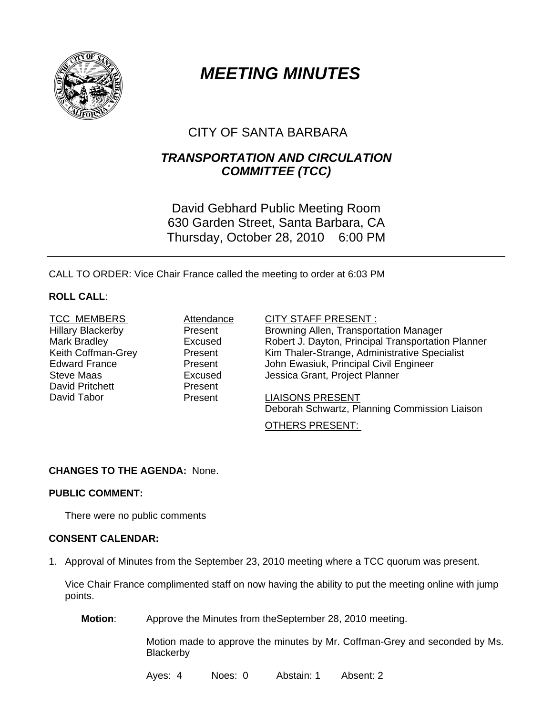

# *MEETING MINUTES*

# CITY OF SANTA BARBARA

## *TRANSPORTATION AND CIRCULATION COMMITTEE (TCC)*

David Gebhard Public Meeting Room 630 Garden Street, Santa Barbara, CA Thursday, October 28, 2010 6:00 PM

CALL TO ORDER: Vice Chair France called the meeting to order at 6:03 PM

### **ROLL CALL**:

<sup>U</sup>TCC MEMBERS <sup>U</sup> <sup>A</sup>Attendance CITY STAFF PRESENT : <sup>U</sup> <sup>U</sup> David Pritchett **Present** 

Hillary Blackerby Present Browning Allen, Transportation Manager Mark Bradley **Excused** Robert J. Dayton, Principal Transportation Planner Keith Coffman-Grey **Present** Kim Thaler-Strange, Administrative Specialist Edward France **Present** John Ewasiuk, Principal Civil Engineer Steve Maas Excused Jessica Grant, Project Planner

David Tabor **Present** LIAISONS PRESENT Deborah Schwartz, Planning Commission Liaison

#### OTHERS PRESENT:

#### **CHANGES TO THE AGENDA:** None.

#### **PUBLIC COMMENT:**

There were no public comments

#### **CONSENT CALENDAR:**

1. Approval of Minutes from the September 23, 2010 meeting where a TCC quorum was present.

Vice Chair France complimented staff on now having the ability to put the meeting online with jump points.

**Motion**: Approve the Minutes from theSeptember 28, 2010 meeting.

Motion made to approve the minutes by Mr. Coffman-Grey and seconded by Ms. **Blackerby** 

Ayes: 4 Noes: 0 Abstain: 1 Absent: 2